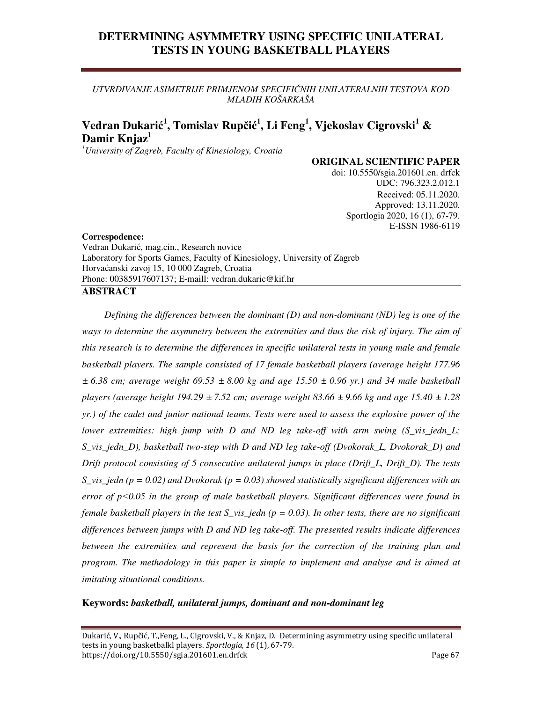### *UTVRĐIVANJE ASIMETRIJE PRIMJENOM SPECIFIČNIH UNILATERALNIH TESTOVA KOD MLADIH KOŠARKAŠA*

# **Vedran Dukarić 1 , Tomislav Rupčić 1 , Li Feng<sup>1</sup> , Vjekoslav Cigrovski<sup>1</sup> & Damir Knjaz<sup>1</sup>**

*<sup>1</sup>University of Zagreb, Faculty of Kinesiology, Croatia* 

#### **ORIGINAL SCIENTIFIC PAPER**

doi: 10.5550/sgia.201601.en. drfck UDC: 796.323.2.012.1 Received: 05.11.2020. Approved: 13.11.2020. Sportlogia 2020, 16 (1), 67-79. E-ISSN 1986-6119

**Correspodence:**  Vedran Dukarić, mag.cin., Research novice Laboratory for Sports Games, Faculty of Kinesiology, University of Zagreb Horvaćanski zavoj 15, 10 000 Zagreb, Croatia Phone: 00385917607137; E-maill: vedran.dukaric@kif.hr **ABSTRACT** 

*Defining the differences between the dominant (D) and non-dominant (ND) leg is one of the ways to determine the asymmetry between the extremities and thus the risk of injury. The aim of this research is to determine the differences in specific unilateral tests in young male and female basketball players. The sample consisted of 17 female basketball players (average height 177.96 ± 6.38 cm; average weight 69.53 ± 8.00 kg and age 15.50 ± 0.96 yr.) and 34 male basketball players (average height 194.29 ± 7.52 cm; average weight 83.66 ± 9.66 kg and age 15.40 ± 1.28 yr.) of the cadet and junior national teams. Tests were used to assess the explosive power of the lower extremities: high jump with D and ND leg take-off with arm swing (S vis jedn L; lower extending limity and ND leg take-off with arm swing (S vis jedn L; and the metalling metalling metalling metalling metalling meta S\_vis\_jedn\_D), basketball two-step with D and ND leg take-off (Dvokorak\_L, Dvokorak\_D) and Drift protocol consisting of 5 consecutive unilateral jumps in place (Drift\_L, Drift\_D). The tests S\_vis\_jedn (p = 0.02) and Dvokorak (p = 0.03) showed statistically significant differences with an error of p˂0.05 in the group of male basketball players. Significant differences were found in female basketball players in the test S\_vis\_jedn (p = 0.03). In other tests, there are no significant differences between jumps with D and ND leg take-off. The presented results indicate differences between the extremities and represent the basis for the correction of the training plan and program. The methodology in this paper is simple to implement and analyse and is aimed at imitating situational conditions.*

#### **Keywords:** *basketball, unilateral jumps, dominant and non-dominant leg*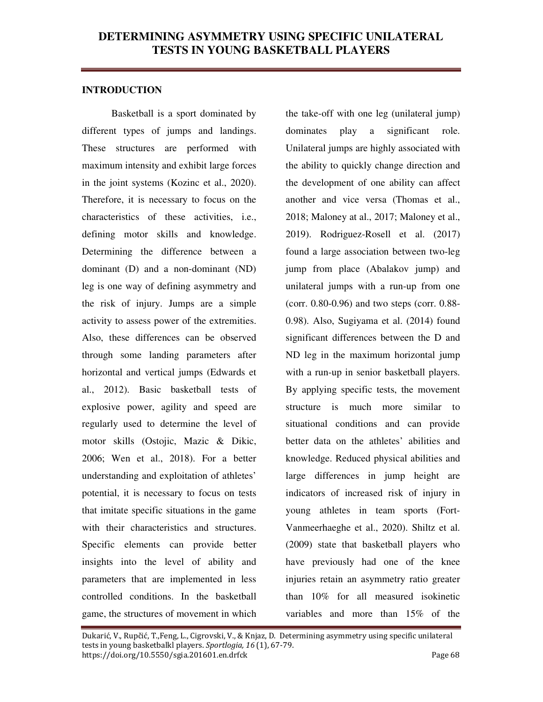### **INTRODUCTION**

Basketball is a sport dominated by different types of jumps and landings. These structures are performed with maximum intensity and exhibit large forces in the joint systems (Kozinc et al., 2020). Therefore, it is necessary to focus on the characteristics of these activities, i.e., defining motor skills and knowledge. Determining the difference between a dominant (D) and a non-dominant (ND) leg is one way of defining asymmetry and the risk of injury. Jumps are a simple activity to assess power of the extremities. Also, these differences can be observed through some landing parameters after horizontal and vertical jumps (Edwards et al., 2012). Basic basketball tests of explosive power, agility and speed are regularly used to determine the level of motor skills (Ostojic, Mazic & Dikic, 2006; Wen et al., 2018). For a better understanding and exploitation of athletes' potential, it is necessary to focus on tests that imitate specific situations in the game with their characteristics and structures. Specific elements can provide better insights into the level of ability and parameters that are implemented in less controlled conditions. In the basketball game, the structures of movement in which

the take-off with one leg (unilateral jump) dominates play a significant role. Unilateral jumps are highly associated with the ability to quickly change direction and the development of one ability can affect another and vice versa (Thomas et al., 2018; Maloney at al., 2017; Maloney et al., 2019). Rodriguez-Rosell et al. (2017) found a large association between two-leg jump from place (Abalakov jump) and unilateral jumps with a run-up from one (corr. 0.80-0.96) and two steps (corr. 0.88- 0.98). Also, Sugiyama et al. (2014) found significant differences between the D and ND leg in the maximum horizontal jump with a run-up in senior basketball players. By applying specific tests, the movement structure is much more similar to situational conditions and can provide better data on the athletes' abilities and knowledge. Reduced physical abilities and large differences in jump height are indicators of increased risk of injury in young athletes in team sports (Fort-Vanmeerhaeghe et al., 2020). Shiltz et al. (2009) state that basketball players who have previously had one of the knee injuries retain an asymmetry ratio greater than 10% for all measured isokinetic variables and more than 15% of the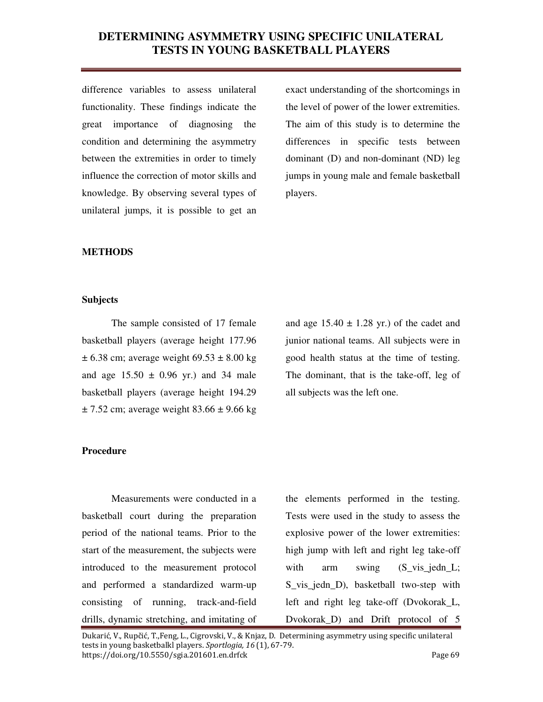difference variables to assess unilateral functionality. These findings indicate the great importance of diagnosing the condition and determining the asymmetry between the extremities in order to timely influence the correction of motor skills and knowledge. By observing several types of unilateral jumps, it is possible to get an

exact understanding of the shortcomings in the level of power of the lower extremities. The aim of this study is to determine the differences in specific tests between dominant (D) and non-dominant (ND) leg jumps in young male and female basketball players.

### **METHODS**

#### **Subjects**

The sample consisted of 17 female basketball players (average height 177.96  $\pm$  6.38 cm; average weight 69.53  $\pm$  8.00 kg and age  $15.50 \pm 0.96$  yr.) and 34 male basketball players (average height 194.29  $\pm$  7.52 cm; average weight 83.66  $\pm$  9.66 kg

and age  $15.40 \pm 1.28$  yr.) of the cadet and junior national teams. All subjects were in good health status at the time of testing. The dominant, that is the take-off, leg of all subjects was the left one.

#### **Procedure**

Measurements were conducted in a basketball court during the preparation period of the national teams. Prior to the start of the measurement, the subjects were introduced to the measurement protocol and performed a standardized warm-up consisting of running, track-and-field drills, dynamic stretching, and imitating of the elements performed in the testing. Tests were used in the study to assess the explosive power of the lower extremities: high jump with left and right leg take-off with arm swing  $(S_i \text{ is } i \text{ edn } L;$ S\_vis\_jedn\_D), basketball two-step with left and right leg take-off (Dvokorak\_L, Dvokorak\_D) and Drift protocol of 5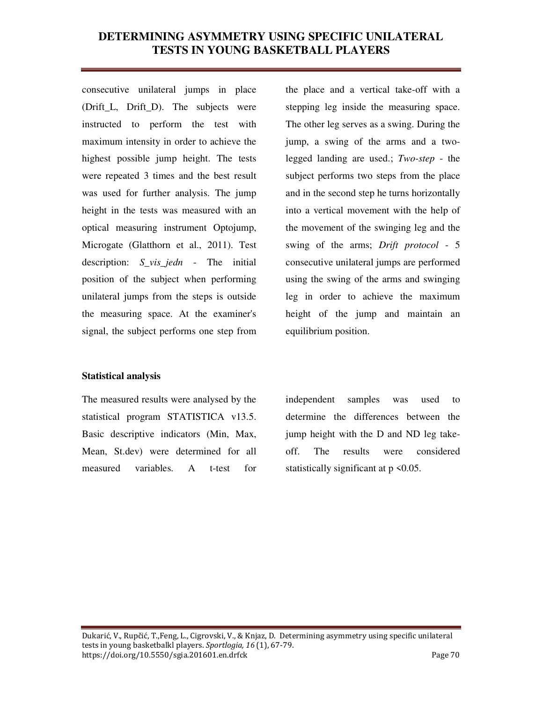consecutive unilateral jumps in place (Drift\_L, Drift\_D). The subjects were instructed to perform the test with maximum intensity in order to achieve the highest possible jump height. The tests were repeated 3 times and the best result was used for further analysis. The jump height in the tests was measured with an optical measuring instrument Optojump, Microgate (Glatthorn et al., 2011). Test description: *S\_vis\_jedn* - The initial position of the subject when performing unilateral jumps from the steps is outside the measuring space. At the examiner's signal, the subject performs one step from

the place and a vertical take-off with a stepping leg inside the measuring space. The other leg serves as a swing. During the jump, a swing of the arms and a twolegged landing are used.; *Two-step* - the subject performs two steps from the place and in the second step he turns horizontally into a vertical movement with the help of the movement of the swinging leg and the swing of the arms; *Drift protocol* - 5 consecutive unilateral jumps are performed using the swing of the arms and swinging leg in order to achieve the maximum height of the jump and maintain an equilibrium position.

### **Statistical analysis**

The measured results were analysed by the statistical program STATISTICA v13.5. Basic descriptive indicators (Min, Max, Mean, St.dev) were determined for all measured variables. A t-test for

independent samples was used to determine the differences between the jump height with the D and ND leg takeoff. The results were considered statistically significant at  $p \le 0.05$ .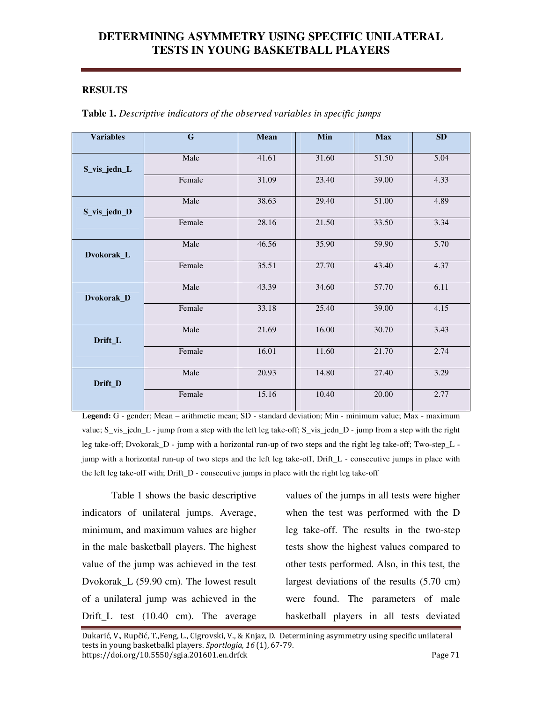## **RESULTS**

| <b>Variables</b> | G      | <b>Mean</b> | Min   | <b>Max</b> | SD   |
|------------------|--------|-------------|-------|------------|------|
| S_vis_jedn_L     | Male   | 41.61       | 31.60 | 51.50      | 5.04 |
|                  | Female | 31.09       | 23.40 | 39.00      | 4.33 |
| S_vis_jedn_D     | Male   | 38.63       | 29.40 | 51.00      | 4.89 |
|                  | Female | 28.16       | 21.50 | 33.50      | 3.34 |
| Dvokorak_L       | Male   | 46.56       | 35.90 | 59.90      | 5.70 |
|                  | Female | 35.51       | 27.70 | 43.40      | 4.37 |
| Dvokorak_D       | Male   | 43.39       | 34.60 | 57.70      | 6.11 |
|                  | Female | 33.18       | 25.40 | 39.00      | 4.15 |
| Drift_L          | Male   | 21.69       | 16.00 | 30.70      | 3.43 |
|                  | Female | 16.01       | 11.60 | 21.70      | 2.74 |
| Drift_D          | Male   | 20.93       | 14.80 | 27.40      | 3.29 |
|                  | Female | 15.16       | 10.40 | 20.00      | 2.77 |

**Table 1.** *Descriptive indicators of the observed variables in specific jumps*

**Legend:** G - gender; Mean – arithmetic mean; SD - standard deviation; Min - minimum value; Max - maximum value; S\_vis\_jedn\_L - jump from a step with the left leg take-off; S\_vis\_jedn\_D - jump from a step with the right leg take-off; Dvokorak D - jump with a horizontal run-up of two steps and the right leg take-off; Two-step L jump with a horizontal run-up of two steps and the left leg take-off, Drift\_L - consecutive jumps in place with the left leg take-off with; Drift\_D - consecutive jumps in place with the right leg take-off

Table 1 shows the basic descriptive indicators of unilateral jumps. Average, minimum, and maximum values are higher in the male basketball players. The highest value of the jump was achieved in the test Dvokorak\_L (59.90 cm). The lowest result of a unilateral jump was achieved in the Drift\_L test (10.40 cm). The average values of the jumps in all tests were higher when the test was performed with the D leg take-off. The results in the two-step tests show the highest values compared to other tests performed. Also, in this test, the largest deviations of the results (5.70 cm) were found. The parameters of male basketball players in all tests deviated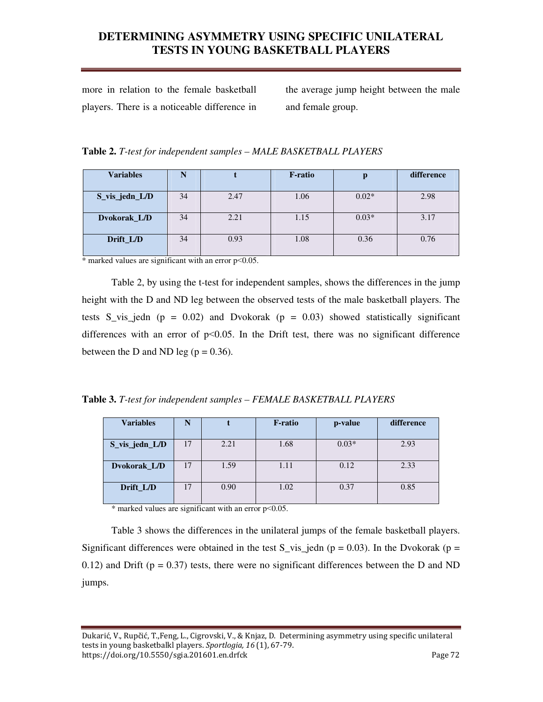more in relation to the female basketball players. There is a noticeable difference in the average jump height between the male and female group.

| <b>Variables</b> |    |      | <b>F-ratio</b> |         | difference |
|------------------|----|------|----------------|---------|------------|
| S_vis_jedn_L/D   | 34 | 2.47 | 1.06           | $0.02*$ | 2.98       |
| Dvokorak_L/D     | 34 | 2.21 | 1.15           | $0.03*$ | 3.17       |
| Drift_L/D        | 34 | 0.93 | 1.08           | 0.36    | 0.76       |

**Table 2.** *T-test for independent samples – MALE BASKETBALL PLAYERS*

\* marked values are significant with an error  $p<0.05$ .

Table 2, by using the t-test for independent samples, shows the differences in the jump height with the D and ND leg between the observed tests of the male basketball players. The tests  $S_{vis}\$ jedn (p = 0.02) and Dvokorak (p = 0.03) showed statistically significant differences with an error of  $p<0.05$ . In the Drift test, there was no significant difference between the D and ND leg  $(p = 0.36)$ .

**Table 3.** *T-test for independent samples – FEMALE BASKETBALL PLAYERS*

| <b>Variables</b> | N  |      | <b>F</b> -ratio | p-value | difference |
|------------------|----|------|-----------------|---------|------------|
| S_vis_jedn_L/D   | 17 | 2.21 | 1.68            | $0.03*$ | 2.93       |
| Dvokorak_L/D     | 17 | 1.59 | 1.11            | 0.12    | 2.33       |
| Drift_L/D        |    | 0.90 | 1.02            | 0.37    | 0.85       |

\* marked values are significant with an error p˂0.05.

Table 3 shows the differences in the unilateral jumps of the female basketball players. Significant differences were obtained in the test S\_vis\_jedn ( $p = 0.03$ ). In the Dvokorak ( $p =$ 0.12) and Drift ( $p = 0.37$ ) tests, there were no significant differences between the D and ND jumps.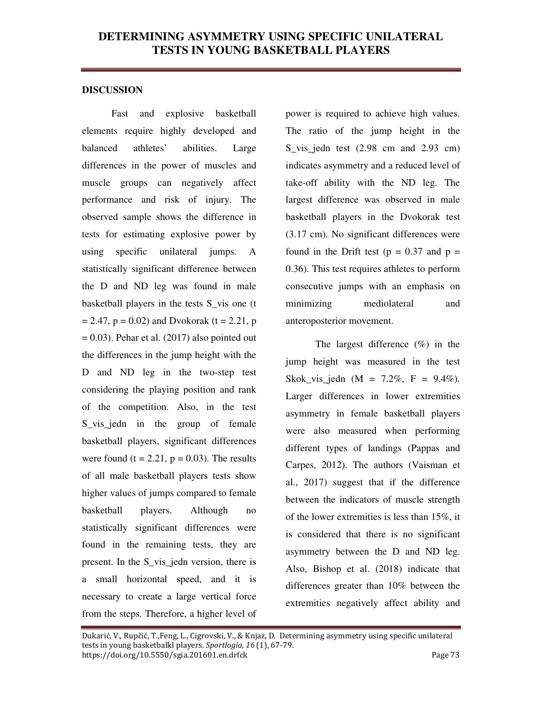### **DISCUSSION**

Fast and explosive basketball elements require highly developed and balanced athletes' abilities. Large differences in the power of muscles and muscle groups can negatively affect performance and risk of injury. The observed sample shows the difference in tests for estimating explosive power by using specific unilateral jumps. A statistically significant difference between the D and ND leg was found in male basketball players in the tests S\_vis one (t  $= 2.47$ ,  $p = 0.02$ ) and Dvokorak (t = 2.21, p  $= 0.03$ ). Pehar et al. (2017) also pointed out the differences in the jump height with the D and ND leg in the two-step test considering the playing position and rank of the competition. Also, in the test S\_vis\_jedn in the group of female basketball players, significant differences were found  $(t = 2.21, p = 0.03)$ . The results of all male basketball players tests show higher values of jumps compared to female basketball players. Although no statistically significant differences were found in the remaining tests, they are present. In the S\_vis\_jedn version, there is a small horizontal speed, and it is necessary to create a large vertical force from the steps. Therefore, a higher level of

power is required to achieve high values. The ratio of the jump height in the S\_vis\_jedn test (2.98 cm and 2.93 cm) indicates asymmetry and a reduced level of take-off ability with the ND leg. The largest difference was observed in male basketball players in the Dvokorak test (3.17 cm). No significant differences were found in the Drift test ( $p = 0.37$  and  $p =$ 0.36). This test requires athletes to perform consecutive jumps with an emphasis on minimizing mediolateral and anteroposterior movement.

The largest difference  $(\% )$  in the jump height was measured in the test Skok\_vis\_jedn (M = 7.2%, F =  $9.4\%$ ). Larger differences in lower extremities asymmetry in female basketball players were also measured when performing different types of landings (Pappas and Carpes, 2012). The authors (Vaisman et al., 2017) suggest that if the difference between the indicators of muscle strength of the lower extremities is less than 15%, it is considered that there is no significant asymmetry between the D and ND leg. Also, Bishop et al. (2018) indicate that differences greater than 10% between the extremities negatively affect ability and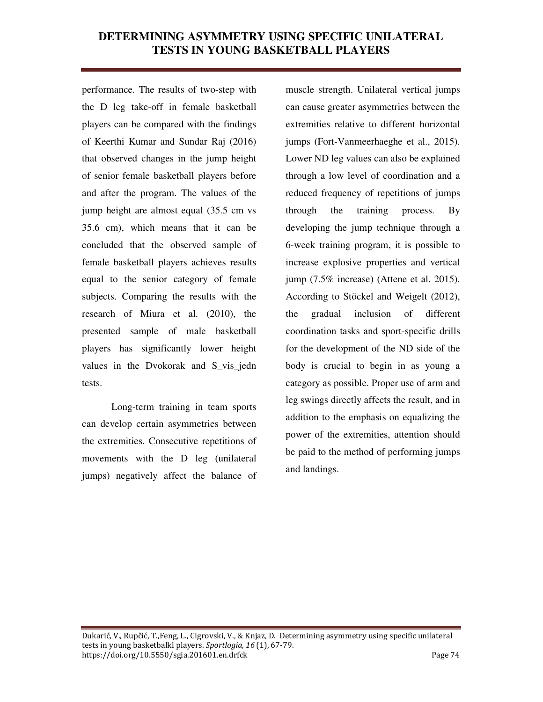performance. The results of two-step with the D leg take-off in female basketball players can be compared with the findings of Keerthi Kumar and Sundar Raj (2016) that observed changes in the jump height of senior female basketball players before and after the program. The values of the jump height are almost equal (35.5 cm vs 35.6 cm), which means that it can be concluded that the observed sample of female basketball players achieves results equal to the senior category of female subjects. Comparing the results with the research of Miura et al. (2010), the presented sample of male basketball players has significantly lower height values in the Dvokorak and S\_vis\_jedn tests.

Long-term training in team sports can develop certain asymmetries between the extremities. Consecutive repetitions of movements with the D leg (unilateral jumps) negatively affect the balance of

muscle strength. Unilateral vertical jumps can cause greater asymmetries between the extremities relative to different horizontal jumps (Fort-Vanmeerhaeghe et al., 2015). Lower ND leg values can also be explained through a low level of coordination and a reduced frequency of repetitions of jumps through the training process. By developing the jump technique through a 6-week training program, it is possible to increase explosive properties and vertical jump (7.5% increase) (Attene et al. 2015). According to Stöckel and Weigelt (2012), the gradual inclusion of different coordination tasks and sport-specific drills for the development of the ND side of the body is crucial to begin in as young a category as possible. Proper use of arm and leg swings directly affects the result, and in addition to the emphasis on equalizing the power of the extremities, attention should be paid to the method of performing jumps and landings.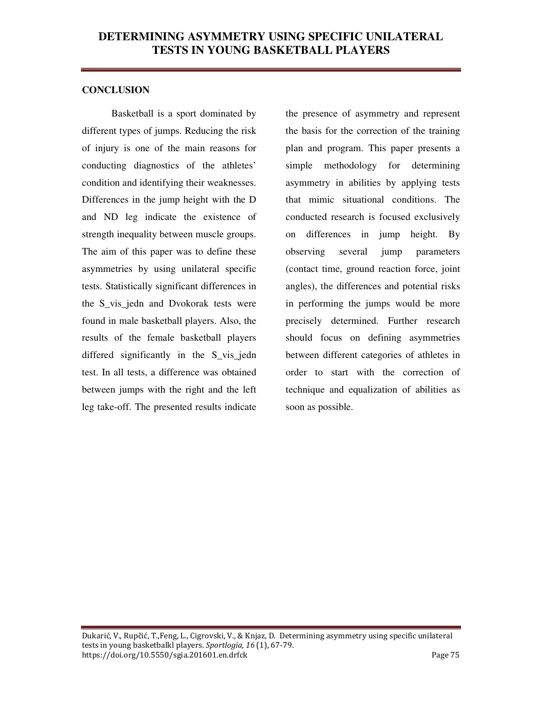## **CONCLUSION**

Basketball is a sport dominated by different types of jumps. Reducing the risk of injury is one of the main reasons for conducting diagnostics of the athletes' condition and identifying their weaknesses. Differences in the jump height with the D and ND leg indicate the existence of strength inequality between muscle groups. The aim of this paper was to define these asymmetries by using unilateral specific tests. Statistically significant differences in the S vis jedn and Dvokorak tests were found in male basketball players. Also, the results of the female basketball players differed significantly in the S\_vis\_jedn test. In all tests, a difference was obtained between jumps with the right and the left leg take-off. The presented results indicate the presence of asymmetry and represent the basis for the correction of the training plan and program. This paper presents a simple methodology for determining asymmetry in abilities by applying tests that mimic situational conditions. The conducted research is focused exclusively on differences in jump height. By observing several jump parameters (contact time, ground reaction force, joint angles), the differences and potential risks in performing the jumps would be more precisely determined. Further research should focus on defining asymmetries between different categories of athletes in order to start with the correction of technique and equalization of abilities as soon as possible.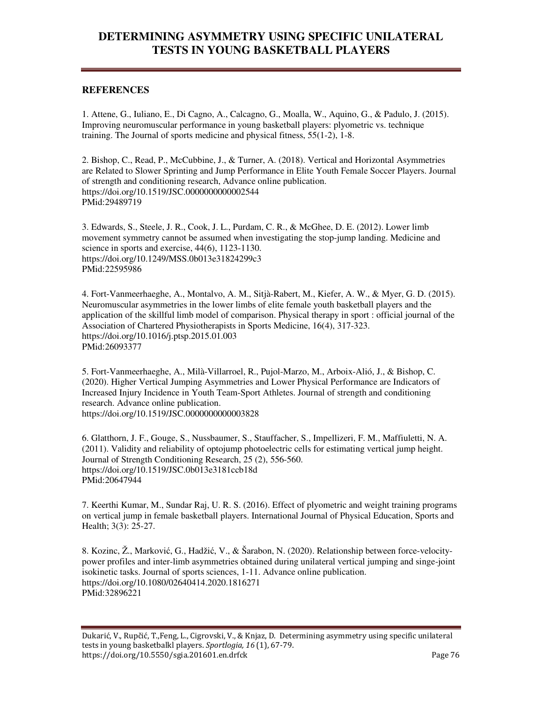### **REFERENCES**

1. Attene, G., Iuliano, E., Di Cagno, A., Calcagno, G., Moalla, W., Aquino, G., & Padulo, J. (2015). Improving neuromuscular performance in young basketball players: plyometric vs. technique training. The Journal of sports medicine and physical fitness, 55(1-2), 1-8.

2. Bishop, C., Read, P., McCubbine, J., & Turner, A. (2018). Vertical and Horizontal Asymmetries are Related to Slower Sprinting and Jump Performance in Elite Youth Female Soccer Players. Journal of strength and conditioning research, Advance online publication. https://doi.org/10.1519/JSC.0000000000002544 PMid:29489719

3. Edwards, S., Steele, J. R., Cook, J. L., Purdam, C. R., & McGhee, D. E. (2012). Lower limb movement symmetry cannot be assumed when investigating the stop-jump landing. Medicine and science in sports and exercise, 44(6), 1123-1130. https://doi.org/10.1249/MSS.0b013e31824299c3 PMid:22595986

4. Fort-Vanmeerhaeghe, A., Montalvo, A. M., Sitjà-Rabert, M., Kiefer, A. W., & Myer, G. D. (2015). Neuromuscular asymmetries in the lower limbs of elite female youth basketball players and the application of the skillful limb model of comparison. Physical therapy in sport : official journal of the Association of Chartered Physiotherapists in Sports Medicine, 16(4), 317-323. https://doi.org/10.1016/j.ptsp.2015.01.003 PMid:26093377

5. Fort-Vanmeerhaeghe, A., Milà-Villarroel, R., Pujol-Marzo, M., Arboix-Alió, J., & Bishop, C. (2020). Higher Vertical Jumping Asymmetries and Lower Physical Performance are Indicators of Increased Injury Incidence in Youth Team-Sport Athletes. Journal of strength and conditioning research. Advance online publication. https://doi.org/10.1519/JSC.0000000000003828

6. Glatthorn, J. F., Gouge, S., Nussbaumer, S., Stauffacher, S., Impellizeri, F. M., Maffiuletti, N. A. (2011). Validity and reliability of optojump photoelectric cells for estimating vertical jump height. Journal of Strength Conditioning Research, 25 (2), 556-560. https://doi.org/10.1519/JSC.0b013e3181ccb18d PMid:20647944

7. Keerthi Kumar, M., Sundar Raj, U. R. S. (2016). Effect of plyometric and weight training programs on vertical jump in female basketball players. International Journal of Physical Education, Sports and Health; 3(3): 25-27.

8. Kozinc, Ž., Marković, G., Hadžić, V., & Šarabon, N. (2020). Relationship between force-velocitypower profiles and inter-limb asymmetries obtained during unilateral vertical jumping and singe-joint isokinetic tasks. Journal of sports sciences, 1-11. Advance online publication. https://doi.org/10.1080/02640414.2020.1816271 PMid:32896221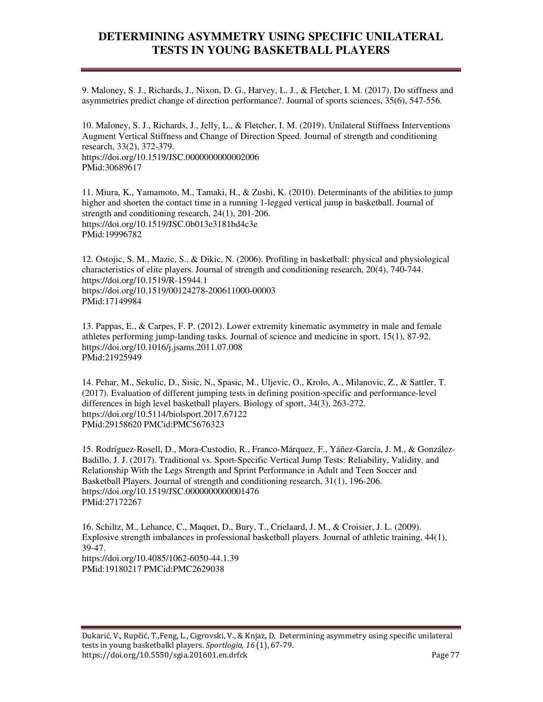9. Maloney, S. J., Richards, J., Nixon, D. G., Harvey, L. J., & Fletcher, I. M. (2017). Do stiffness and asymmetries predict change of direction performance?. Journal of sports sciences, 35(6), 547-556.

10. Maloney, S. J., Richards, J., Jelly, L., & Fletcher, I. M. (2019). Unilateral Stiffness Interventions Augment Vertical Stiffness and Change of Direction Speed. Journal of strength and conditioning research, 33(2), 372-379. https://doi.org/10.1519/JSC.0000000000002006 PMid:30689617

11. Miura, K., Yamamoto, M., Tamaki, H., & Zushi, K. (2010). Determinants of the abilities to jump higher and shorten the contact time in a running 1-legged vertical jump in basketball. Journal of strength and conditioning research, 24(1), 201-206. https://doi.org/10.1519/JSC.0b013e3181bd4c3e PMid:19996782

12. Ostojic, S. M., Mazic, S., & Dikic, N. (2006). Profiling in basketball: physical and physiological characteristics of elite players. Journal of strength and conditioning research, 20(4), 740-744. https://doi.org/10.1519/R-15944.1 https://doi.org/10.1519/00124278-200611000-00003 PMid:17149984

13. Pappas, E., & Carpes, F. P. (2012). Lower extremity kinematic asymmetry in male and female athletes performing jump-landing tasks. Journal of science and medicine in sport, 15(1), 87-92. https://doi.org/10.1016/j.jsams.2011.07.008 PMid:21925949

14. Pehar, M., Sekulic, D., Sisic, N., Spasic, M., Uljevic, O., Krolo, A., Milanovic, Z., & Sattler, T. (2017). Evaluation of different jumping tests in defining position-specific and performance-level differences in high level basketball players. Biology of sport, 34(3), 263-272. https://doi.org/10.5114/biolsport.2017.67122 PMid:29158620 PMCid:PMC5676323

15. Rodríguez-Rosell, D., Mora-Custodio, R., Franco-Márquez, F., Yáñez-García, J. M., & González-Badillo, J. J. (2017). Traditional vs. Sport-Specific Vertical Jump Tests: Reliability, Validity, and Relationship With the Legs Strength and Sprint Performance in Adult and Teen Soccer and Basketball Players. Journal of strength and conditioning research, 31(1), 196-206. https://doi.org/10.1519/JSC.0000000000001476 PMid:27172267

16. Schiltz, M., Lehance, C., Maquet, D., Bury, T., Crielaard, J. M., & Croisier, J. L. (2009). Explosive strength imbalances in professional basketball players. Journal of athletic training, 44(1), 39-47. https://doi.org/10.4085/1062-6050-44.1.39 PMid:19180217 PMCid:PMC2629038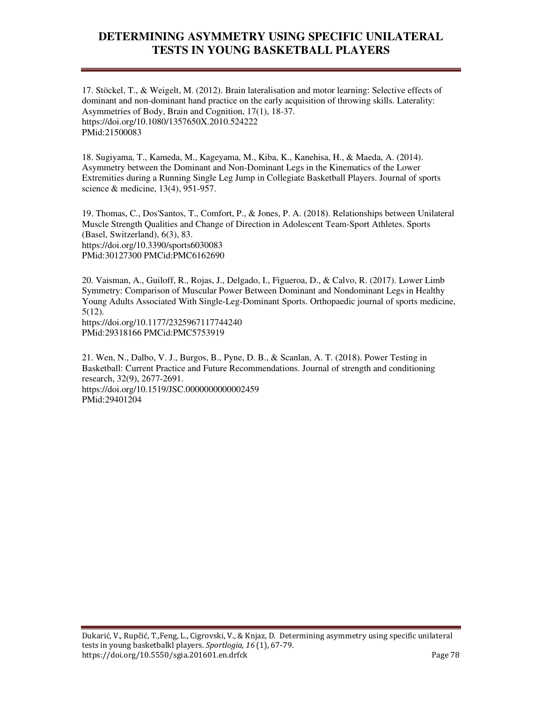17. Stöckel, T., & Weigelt, M. (2012). Brain lateralisation and motor learning: Selective effects of dominant and non-dominant hand practice on the early acquisition of throwing skills. Laterality: Asymmetries of Body, Brain and Cognition, 17(1), 18-37. https://doi.org/10.1080/1357650X.2010.524222 PMid:21500083

18. Sugiyama, T., Kameda, M., Kageyama, M., Kiba, K., Kanehisa, H., & Maeda, A. (2014). Asymmetry between the Dominant and Non-Dominant Legs in the Kinematics of the Lower Extremities during a Running Single Leg Jump in Collegiate Basketball Players. Journal of sports science & medicine, 13(4), 951-957.

19. Thomas, C., Dos'Santos, T., Comfort, P., & Jones, P. A. (2018). Relationships between Unilateral Muscle Strength Qualities and Change of Direction in Adolescent Team-Sport Athletes. Sports (Basel, Switzerland), 6(3), 83. https://doi.org/10.3390/sports6030083 PMid:30127300 PMCid:PMC6162690

20. Vaisman, A., Guiloff, R., Rojas, J., Delgado, I., Figueroa, D., & Calvo, R. (2017). Lower Limb Symmetry: Comparison of Muscular Power Between Dominant and Nondominant Legs in Healthy Young Adults Associated With Single-Leg-Dominant Sports. Orthopaedic journal of sports medicine, 5(12). https://doi.org/10.1177/2325967117744240

PMid:29318166 PMCid:PMC5753919

21. Wen, N., Dalbo, V. J., Burgos, B., Pyne, D. B., & Scanlan, A. T. (2018). Power Testing in Basketball: Current Practice and Future Recommendations. Journal of strength and conditioning research, 32(9), 2677-2691. https://doi.org/10.1519/JSC.0000000000002459 PMid:29401204